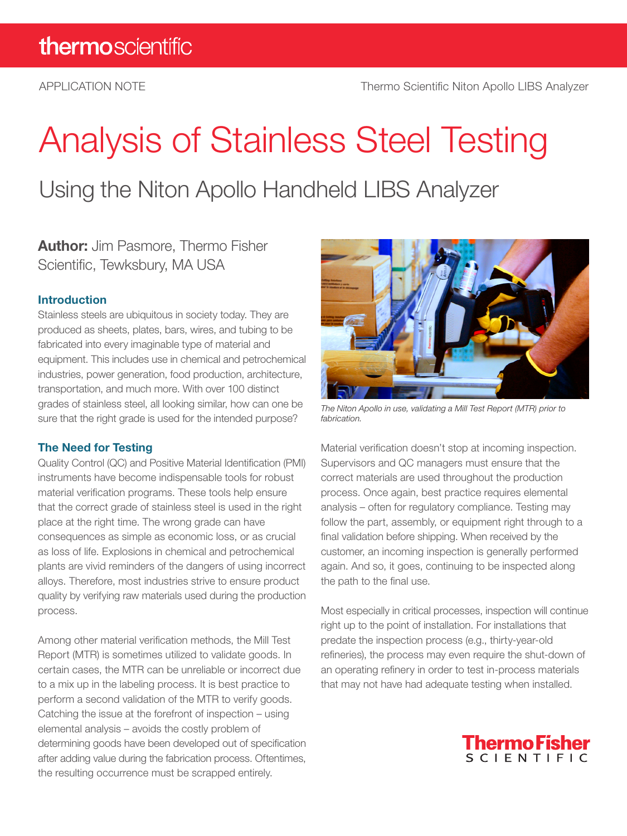# Analysis of Stainless Steel Testing

Using the Niton Apollo Handheld LIBS Analyzer

**Author:** Jim Pasmore, Thermo Fisher Scientific, Tewksbury, MA USA

# Introduction

Stainless steels are ubiquitous in society today. They are produced as sheets, plates, bars, wires, and tubing to be fabricated into every imaginable type of material and equipment. This includes use in chemical and petrochemical industries, power generation, food production, architecture, transportation, and much more. With over 100 distinct grades of stainless steel, all looking similar, how can one be sure that the right grade is used for the intended purpose?

### The Need for Testing

Quality Control (QC) and Positive Material Identification (PMI) instruments have become indispensable tools for robust material verification programs. These tools help ensure that the correct grade of stainless steel is used in the right place at the right time. The wrong grade can have consequences as simple as economic loss, or as crucial as loss of life. Explosions in chemical and petrochemical plants are vivid reminders of the dangers of using incorrect alloys. Therefore, most industries strive to ensure product quality by verifying raw materials used during the production process.

Among other material verification methods, the Mill Test Report (MTR) is sometimes utilized to validate goods. In certain cases, the MTR can be unreliable or incorrect due to a mix up in the labeling process. It is best practice to perform a second validation of the MTR to verify goods. Catching the issue at the forefront of inspection – using elemental analysis – avoids the costly problem of determining goods have been developed out of specification after adding value during the fabrication process. Oftentimes, the resulting occurrence must be scrapped entirely.



*The Niton Apollo in use, validating a Mill Test Report (MTR) prior to fabrication.*

Material verification doesn't stop at incoming inspection. Supervisors and QC managers must ensure that the correct materials are used throughout the production process. Once again, best practice requires elemental analysis – often for regulatory compliance. Testing may follow the part, assembly, or equipment right through to a final validation before shipping. When received by the customer, an incoming inspection is generally performed again. And so, it goes, continuing to be inspected along the path to the final use.

Most especially in critical processes, inspection will continue right up to the point of installation. For installations that predate the inspection process (e.g., thirty-year-old refineries), the process may even require the shut-down of an operating refinery in order to test in-process materials that may not have had adequate testing when installed.